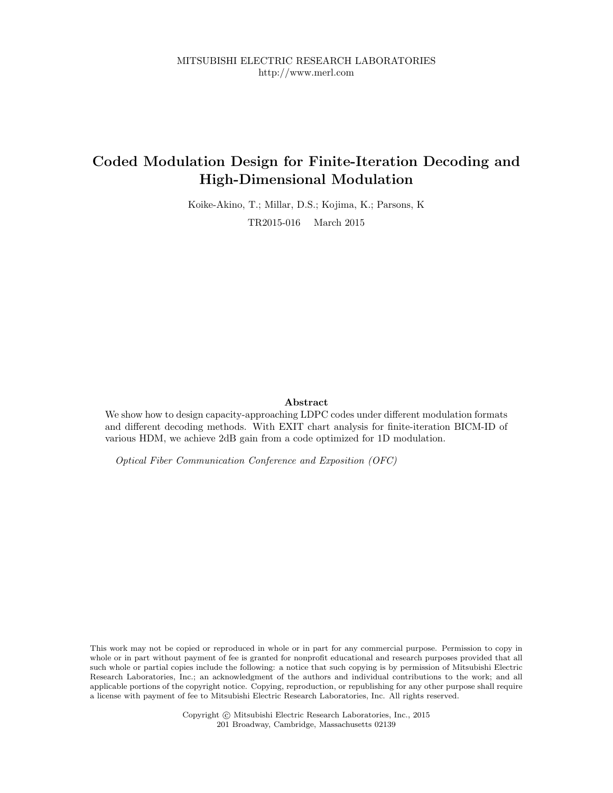# Coded Modulation Design for Finite-Iteration Decoding and High-Dimensional Modulation

Koike-Akino, T.; Millar, D.S.; Kojima, K.; Parsons, K TR2015-016 March 2015

# Abstract

We show how to design capacity-approaching LDPC codes under different modulation formats and different decoding methods. With EXIT chart analysis for finite-iteration BICM-ID of various HDM, we achieve 2dB gain from a code optimized for 1D modulation.

Optical Fiber Communication Conference and Exposition (OFC)

This work may not be copied or reproduced in whole or in part for any commercial purpose. Permission to copy in whole or in part without payment of fee is granted for nonprofit educational and research purposes provided that all such whole or partial copies include the following: a notice that such copying is by permission of Mitsubishi Electric Research Laboratories, Inc.; an acknowledgment of the authors and individual contributions to the work; and all applicable portions of the copyright notice. Copying, reproduction, or republishing for any other purpose shall require a license with payment of fee to Mitsubishi Electric Research Laboratories, Inc. All rights reserved.

> Copyright © Mitsubishi Electric Research Laboratories, Inc., 2015 201 Broadway, Cambridge, Massachusetts 02139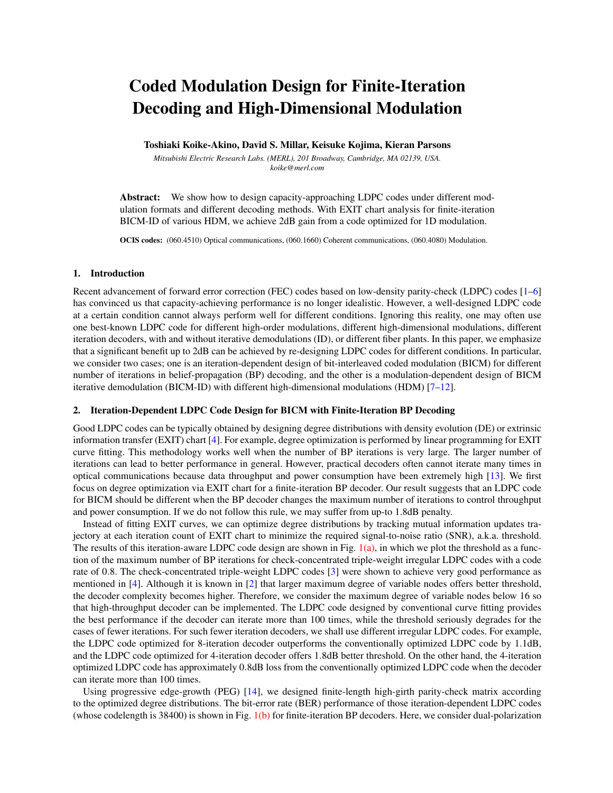# Coded Modulation Design for Finite-Iteration Decoding and High-Dimensional Modulation

Toshiaki Koike-Akino, David S. Millar, Keisuke Kojima, Kieran Parsons

*Mitsubishi Electric Research Labs. (MERL), 201 Broadway, Cambridge, MA 02139, USA. koike@merl.com*

Abstract: We show how to design capacity-approaching LDPC codes under different modulation formats and different decoding methods. With EXIT chart analysis for finite-iteration BICM-ID of various HDM, we achieve 2dB gain from a code optimized for 1D modulation.

OCIS codes: (060.4510) Optical communications, (060.1660) Coherent communications, (060.4080) Modulation.

#### 1. Introduction

Recent advancement of forward error correction (FEC) codes based on low-density parity-check (LDPC) codes [1–6] has convinced us that capacity-achieving performance is no longer idealistic. However, a well-designed LDPC code at a certain condition cannot always perform well for different conditions. Ignoring this reality, one may often use one best-known LDPC code for different high-order modulations, different high-dimensional modulations, different iteration decoders, with and without iterative demodulations (ID), or different fiber plants. In this paper, we emphasize that a significant benefit up to 2dB can be achieved by re-designing LDPC codes for different conditions. In particular, we consider two cases; one is an iteration-dependent design of bit-interleaved coded modulation (BICM) for different number of iterations in belief-propagation (BP) decoding, and the other is a modulation-dependent design of BICM iterative demodulation (BICM-ID) with different high-dimensional modulations (HDM) [7–12].

#### 2. Iteration-Dependent LDPC Code Design for BICM with Finite-Iteration BP Decoding

Good LDPC codes can be typically obtained by designing degree distributions with density evolution (DE) or extrinsic information transfer (EXIT) chart [4]. For example, degree optimization is performed by linear programming for EXIT curve fitting. This methodology works well when the number of BP iterations is very large. The larger number of iterations can lead to better performance in general. However, practical decoders often cannot iterate many times in optical communications because data throughput and power consumption have been extremely high [13]. We first focus on degree optimization via EXIT chart for a finite-iteration BP decoder. Our result suggests that an LDPC code for BICM should be different when the BP decoder changes the maximum number of iterations to control throughput and power consumption. If we do not follow this rule, we may suffer from up-to 1.8dB penalty.

Instead of fitting EXIT curves, we can optimize degree distributions by tracking mutual information updates trajectory at each iteration count of EXIT chart to minimize the required signal-to-noise ratio (SNR), a.k.a. threshold. The results of this iteration-aware LDPC code design are shown in Fig.  $1(a)$ , in which we plot the threshold as a function of the maximum number of BP iterations for check-concentrated triple-weight irregular LDPC codes with a code rate of 0*.*8. The check-concentrated triple-weight LDPC codes [3] were shown to achieve very good performance as mentioned in [4]. Although it is known in [2] that larger maximum degree of variable nodes offers better threshold, the decoder complexity becomes higher. Therefore, we consider the maximum degree of variable nodes below 16 so that high-throughput decoder can be implemented. The LDPC code designed by conventional curve fitting provides the best performance if the decoder can iterate more than 100 times, while the threshold seriously degrades for the cases of fewer iterations. For such fewer iteration decoders, we shall use different irregular LDPC codes. For example, the LDPC code optimized for 8-iteration decoder outperforms the conventionally optimized LDPC code by 1*.*1dB, and the LDPC code optimized for 4-iteration decoder offers 1*.*8dB better threshold. On the other hand, the 4-iteration optimized LDPC code has approximately 0*.*8dB loss from the conventionally optimized LDPC code when the decoder can iterate more than 100 times.

Using progressive edge-growth (PEG) [14], we designed finite-length high-girth parity-check matrix according to the optimized degree distributions. The bit-error rate (BER) performance of those iteration-dependent LDPC codes (whose codelength is 38400) is shown in Fig.  $1(b)$  for finite-iteration BP decoders. Here, we consider dual-polarization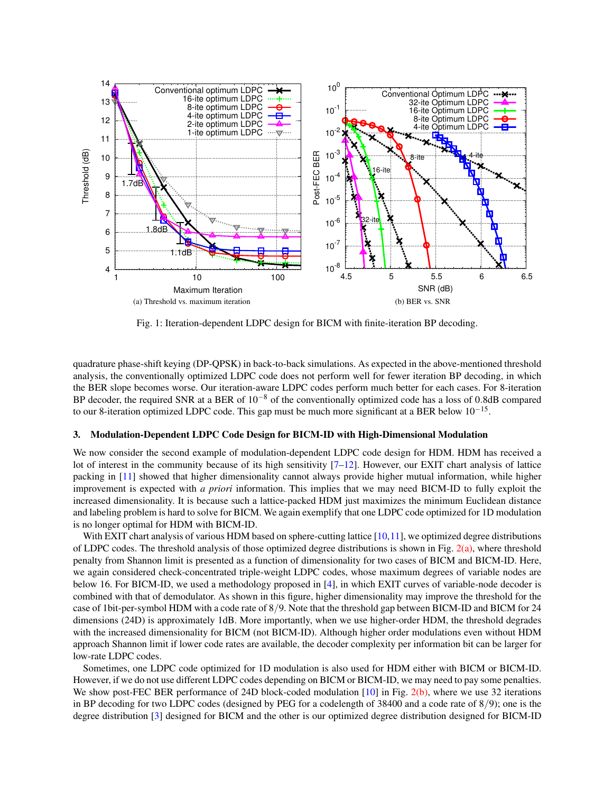

Fig. 1: Iteration-dependent LDPC design for BICM with finite-iteration BP decoding.

quadrature phase-shift keying (DP-QPSK) in back-to-back simulations. As expected in the above-mentioned threshold analysis, the conventionally optimized LDPC code does not perform well for fewer iteration BP decoding, in which the BER slope becomes worse. Our iteration-aware LDPC codes perform much better for each cases. For 8-iteration BP decoder, the required SNR at a BER of  $10^{-8}$  of the conventionally optimized code has a loss of 0.8dB compared to our 8-iteration optimized LDPC code. This gap must be much more significant at a BER below  $10^{-15}$ .

## 3. Modulation-Dependent LDPC Code Design for BICM-ID with High-Dimensional Modulation

We now consider the second example of modulation-dependent LDPC code design for HDM. HDM has received a lot of interest in the community because of its high sensitivity  $[7-12]$ . However, our EXIT chart analysis of lattice packing in [11] showed that higher dimensionality cannot always provide higher mutual information, while higher improvement is expected with *a priori* information. This implies that we may need BICM-ID to fully exploit the increased dimensionality. It is because such a lattice-packed HDM just maximizes the minimum Euclidean distance and labeling problem is hard to solve for BICM. We again exemplify that one LDPC code optimized for 1D modulation is no longer optimal for HDM with BICM-ID.

With EXIT chart analysis of various HDM based on sphere-cutting lattice  $[10,11]$ , we optimized degree distributions of LDPC codes. The threshold analysis of those optimized degree distributions is shown in Fig.  $2(a)$ , where threshold penalty from Shannon limit is presented as a function of dimensionality for two cases of BICM and BICM-ID. Here, we again considered check-concentrated triple-weight LDPC codes, whose maximum degrees of variable nodes are below 16. For BICM-ID, we used a methodology proposed in [4], in which EXIT curves of variable-node decoder is combined with that of demodulator. As shown in this figure, higher dimensionality may improve the threshold for the case of 1bit-per-symbol HDM with a code rate of 8*/*9. Note that the threshold gap between BICM-ID and BICM for 24 dimensions (24D) is approximately 1dB. More importantly, when we use higher-order HDM, the threshold degrades with the increased dimensionality for BICM (not BICM-ID). Although higher order modulations even without HDM approach Shannon limit if lower code rates are available, the decoder complexity per information bit can be larger for low-rate LDPC codes.

Sometimes, one LDPC code optimized for 1D modulation is also used for HDM either with BICM or BICM-ID. However, if we do not use different LDPC codes depending on BICM or BICM-ID, we may need to pay some penalties. We show post-FEC BER performance of 24D block-coded modulation [10] in Fig. 2(b), where we use 32 iterations in BP decoding for two LDPC codes (designed by PEG for a codelength of 38400 and a code rate of 8*/*9); one is the degree distribution [3] designed for BICM and the other is our optimized degree distribution designed for BICM-ID